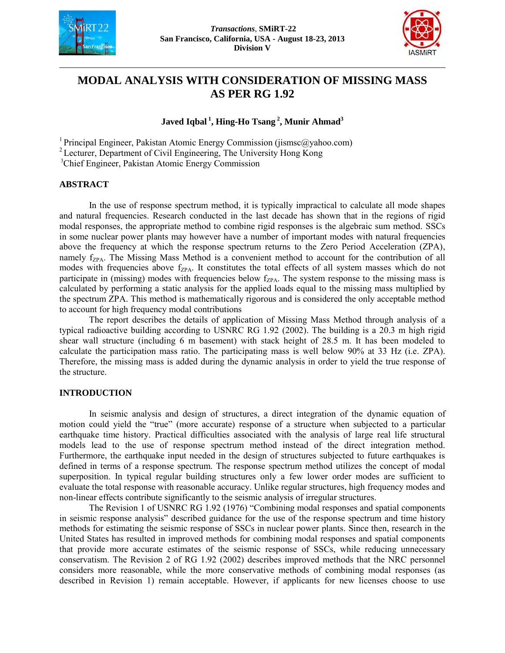



# **MODAL ANALYSIS WITH CONSIDERATION OF MISSING MASS AS PER RG 1.92**

# **Javed Iqbal<sup>1</sup>, Hing-Ho Tsang<sup>2</sup>, Munir Ahmad<sup>3</sup>**

<sup>1</sup> Principal Engineer, Pakistan Atomic Energy Commission (jismsc@yahoo.com) <sup>2</sup> Lecturer, Department of Civil Engineering, The University Hong Kong

<sup>3</sup>Chief Engineer, Pakistan Atomic Energy Commission

#### **ABSTRACT**

In the use of response spectrum method, it is typically impractical to calculate all mode shapes and natural frequencies. Research conducted in the last decade has shown that in the regions of rigid modal responses, the appropriate method to combine rigid responses is the algebraic sum method. SSCs in some nuclear power plants may however have a number of important modes with natural frequencies above the frequency at which the response spectrum returns to the Zero Period Acceleration (ZPA), namely  $f_{ZPA}$ . The Missing Mass Method is a convenient method to account for the contribution of all modes with frequencies above  $f_{ZPA}$ . It constitutes the total effects of all system masses which do not participate in (missing) modes with frequencies below  $f_{ZPA}$ . The system response to the missing mass is calculated by performing a static analysis for the applied loads equal to the missing mass multiplied by the spectrum ZPA. This method is mathematically rigorous and is considered the only acceptable method to account for high frequency modal contributions

The report describes the details of application of Missing Mass Method through analysis of a typical radioactive building according to USNRC RG 1.92 (2002). The building is a 20.3 m high rigid shear wall structure (including 6 m basement) with stack height of 28.5 m. It has been modeled to calculate the participation mass ratio. The participating mass is well below 90% at 33 Hz (i.e. ZPA). Therefore, the missing mass is added during the dynamic analysis in order to yield the true response of the structure.

# **INTRODUCTION**

In seismic analysis and design of structures, a direct integration of the dynamic equation of motion could yield the "true" (more accurate) response of a structure when subjected to a particular earthquake time history. Practical difficulties associated with the analysis of large real life structural models lead to the use of response spectrum method instead of the direct integration method. Furthermore, the earthquake input needed in the design of structures subjected to future earthquakes is defined in terms of a response spectrum. The response spectrum method utilizes the concept of modal superposition. In typical regular building structures only a few lower order modes are sufficient to evaluate the total response with reasonable accuracy. Unlike regular structures, high frequency modes and non-linear effects contribute significantly to the seismic analysis of irregular structures.

The Revision 1 of USNRC RG 1.92 (1976) "Combining modal responses and spatial components in seismic response analysis" described guidance for the use of the response spectrum and time history methods for estimating the seismic response of SSCs in nuclear power plants. Since then, research in the United States has resulted in improved methods for combining modal responses and spatial components that provide more accurate estimates of the seismic response of SSCs, while reducing unnecessary conservatism. The Revision 2 of RG 1.92 (2002) describes improved methods that the NRC personnel considers more reasonable, while the more conservative methods of combining modal responses (as described in Revision 1) remain acceptable. However, if applicants for new licenses choose to use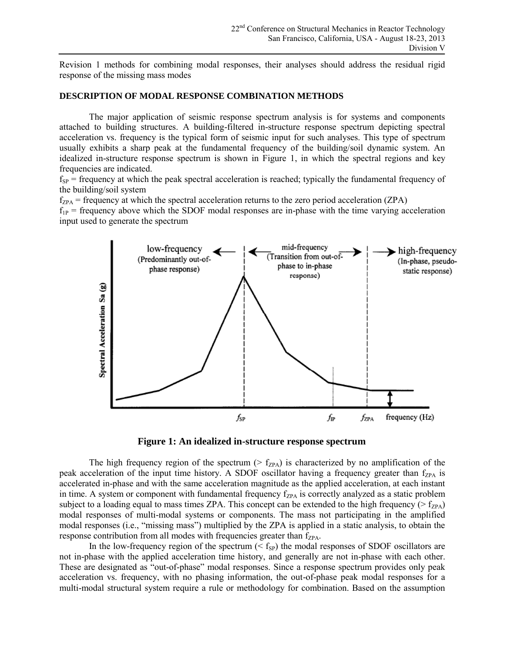Revision 1 methods for combining modal responses, their analyses should address the residual rigid response of the missing mass modes

#### **DESCRIPTION OF MODAL RESPONSE COMBINATION METHODS**

The major application of seismic response spectrum analysis is for systems and components attached to building structures. A building-filtered in-structure response spectrum depicting spectral acceleration vs. frequency is the typical form of seismic input for such analyses. This type of spectrum usually exhibits a sharp peak at the fundamental frequency of the building/soil dynamic system. An idealized in-structure response spectrum is shown in Figure 1, in which the spectral regions and key frequencies are indicated.

 $f_{SP}$  = frequency at which the peak spectral acceleration is reached; typically the fundamental frequency of the building/soil system

 $f_{ZPA}$  = frequency at which the spectral acceleration returns to the zero period acceleration (ZPA)

 $f_{1P}$  = frequency above which the SDOF modal responses are in-phase with the time varying acceleration input used to generate the spectrum



**Figure 1: An idealized in-structure response spectrum** 

The high frequency region of the spectrum ( $>$  f<sub>ZPA</sub>) is characterized by no amplification of the peak acceleration of the input time history. A SDOF oscillator having a frequency greater than  $f_{ZPA}$  is accelerated in-phase and with the same acceleration magnitude as the applied acceleration, at each instant in time. A system or component with fundamental frequency  $f_{ZPA}$  is correctly analyzed as a static problem subject to a loading equal to mass times ZPA. This concept can be extended to the high frequency ( $>$  f<sub>ZPA</sub>) modal responses of multi-modal systems or components. The mass not participating in the amplified modal responses (i.e., "missing mass") multiplied by the ZPA is applied in a static analysis, to obtain the response contribution from all modes with frequencies greater than  $f_{ZPA}$ .

In the low-frequency region of the spectrum  $( $f_{SP}$ )$  the modal responses of SDOF oscillators are not in-phase with the applied acceleration time history, and generally are not in-phase with each other. These are designated as "out-of-phase" modal responses. Since a response spectrum provides only peak acceleration vs. frequency, with no phasing information, the out-of-phase peak modal responses for a multi-modal structural system require a rule or methodology for combination. Based on the assumption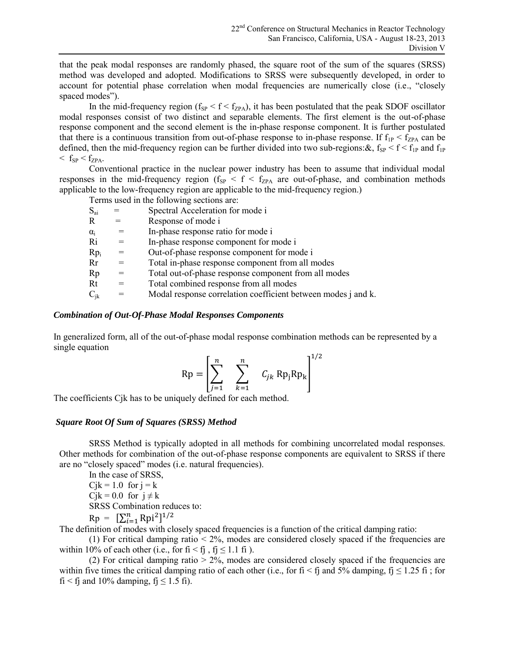that the peak modal responses are randomly phased, the square root of the sum of the squares (SRSS) method was developed and adopted. Modifications to SRSS were subsequently developed, in order to account for potential phase correlation when modal frequencies are numerically close (i.e., "closely spaced modes").

In the mid-frequency region ( $f_{SP} < f < f_{ZPA}$ ), it has been postulated that the peak SDOF oscillator modal responses consist of two distinct and separable elements. The first element is the out-of-phase response component and the second element is the in-phase response component. It is further postulated that there is a continuous transition from out-of-phase response to in-phase response. If  $f_{1P} < f_{ZPA}$  can be defined, then the mid-frequency region can be further divided into two sub-regions:  $\&$ ,  $f_{SP} < f < f_{IP}$  and  $f_{IP}$  $\langle f_{SP} \langle f_{ZPA}.$ 

Conventional practice in the nuclear power industry has been to assume that individual modal responses in the mid-frequency region ( $f_{SP} < f < f_{ZPA}$  are out-of-phase, and combination methods applicable to the low-frequency region are applicable to the mid-frequency region.)

|                 |     | Terms used in the following sections are:                     |
|-----------------|-----|---------------------------------------------------------------|
| $S_{ai}$        |     | Spectral Acceleration for mode i                              |
| R               | $=$ | Response of mode i                                            |
| $\alpha_i$      | $=$ | In-phase response ratio for mode i                            |
| Ri              | $=$ | In-phase response component for mode i                        |
| Rp <sub>i</sub> |     | Out-of-phase response component for mode i                    |
| Rr              | $=$ | Total in-phase response component from all modes              |
| Rp              | $=$ | Total out-of-phase response component from all modes          |
| Rt              | $=$ | Total combined response from all modes                        |
| $C_{ik}$        | $=$ | Modal response correlation coefficient between modes j and k. |

# *Combination of Out-Of-Phase Modal Responses Components*

In generalized form, all of the out-of-phase modal response combination methods can be represented by a single equation

$$
\text{Rp} = \left[\sum_{j=1}^{n} \sum_{k=1}^{n} C_{jk} \text{Rp}_j \text{Rp}_k\right]^{1/2}
$$

The coefficients Cjk has to be uniquely defined for each method.

# *Square Root Of Sum of Squares (SRSS) Method*

SRSS Method is typically adopted in all methods for combining uncorrelated modal responses. Other methods for combination of the out-of-phase response components are equivalent to SRSS if there are no "closely spaced" modes (i.e. natural frequencies).

In the case of SRSS,  $Cjk = 1.0$  for  $j = k$  $Cik = 0.0$  for  $i \neq k$ SRSS Combination reduces to:

 $Rp = [\sum_{i=1}^{n} Rpi^{2}]^{1}$ 

The definition of modes with closely spaced frequencies is a function of the critical damping ratio:

(1) For critical damping ratio  $< 2\%$ , modes are considered closely spaced if the frequencies are within 10% of each other (i.e., for  $fi < f_1$ ,  $f_1 \le 1.1$  fi).

(2) For critical damping ratio  $> 2\%$ , modes are considered closely spaced if the frequencies are within five times the critical damping ratio of each other (i.e., for fi < fj and 5% damping, fj  $\leq$  1.25 fi; for fi < fj and 10% damping, fj  $\leq$  1.5 fi).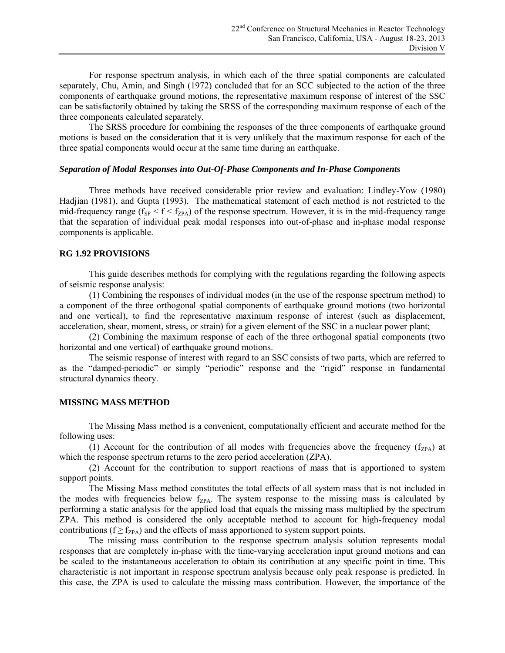For response spectrum analysis, in which each of the three spatial components are calculated separately, Chu, Amin, and Singh (1972) concluded that for an SCC subjected to the action of the three components of earthquake ground motions, the representative maximum response of interest of the SSC can be satisfactorily obtained by taking the SRSS of the corresponding maximum response of each of the three components calculated separately.

The SRSS procedure for combining the responses of the three components of earthquake ground motions is based on the consideration that it is very unlikely that the maximum response for each of the three spatial components would occur at the same time during an earthquake.

#### *Separation of Modal Responses into Out-Of-Phase Components and In-Phase Components*

Three methods have received considerable prior review and evaluation: Lindley-Yow (1980) Hadjian (1981), and Gupta (1993). The mathematical statement of each method is not restricted to the mid-frequency range ( $f_{SP} < f < f_{ZPA}$ ) of the response spectrum. However, it is in the mid-frequency range that the separation of individual peak modal responses into out-of-phase and in-phase modal response components is applicable.

#### **RG 1.92 PROVISIONS**

This guide describes methods for complying with the regulations regarding the following aspects of seismic response analysis:

(1) Combining the responses of individual modes (in the use of the response spectrum method) to a component of the three orthogonal spatial components of earthquake ground motions (two horizontal and one vertical), to find the representative maximum response of interest (such as displacement, acceleration, shear, moment, stress, or strain) for a given element of the SSC in a nuclear power plant;

(2) Combining the maximum response of each of the three orthogonal spatial components (two horizontal and one vertical) of earthquake ground motions.

The seismic response of interest with regard to an SSC consists of two parts, which are referred to as the "damped-periodic" or simply "periodic" response and the "rigid" response in fundamental structural dynamics theory.

#### **MISSING MASS METHOD**

The Missing Mass method is a convenient, computationally efficient and accurate method for the following uses:

(1) Account for the contribution of all modes with frequencies above the frequency  $(f_{ZPA})$  at which the response spectrum returns to the zero period acceleration (ZPA).

(2) Account for the contribution to support reactions of mass that is apportioned to system support points.

The Missing Mass method constitutes the total effects of all system mass that is not included in the modes with frequencies below  $f_{ZPA}$ . The system response to the missing mass is calculated by performing a static analysis for the applied load that equals the missing mass multiplied by the spectrum ZPA. This method is considered the only acceptable method to account for high-frequency modal contributions ( $f \ge f_{ZPA}$ ) and the effects of mass apportioned to system support points.

The missing mass contribution to the response spectrum analysis solution represents modal responses that are completely in-phase with the time-varying acceleration input ground motions and can be scaled to the instantaneous acceleration to obtain its contribution at any specific point in time. This characteristic is not important in response spectrum analysis because only peak response is predicted. In this case, the ZPA is used to calculate the missing mass contribution. However, the importance of the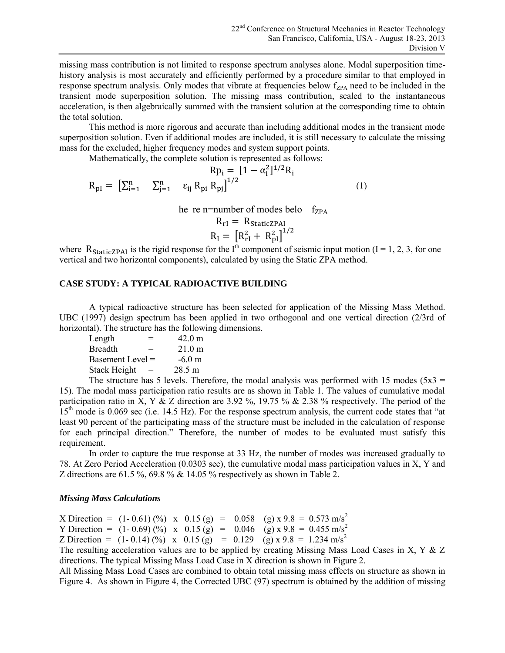missing mass contribution is not limited to response spectrum analyses alone. Modal superposition timehistory analysis is most accurately and efficiently performed by a procedure similar to that employed in response spectrum analysis. Only modes that vibrate at frequencies below  $f_{ZPA}$  need to be included in the transient mode superposition solution. The missing mass contribution, scaled to the instantaneous acceleration, is then algebraically summed with the transient solution at the corresponding time to obtain the total solution.

This method is more rigorous and accurate than including additional modes in the transient mode superposition solution. Even if additional modes are included, it is still necessary to calculate the missing mass for the excluded, higher frequency modes and system support points.

Mathematically, the complete solution is represented as follows:

$$
Rp_{i} = [1 - \alpha_{i}^{2}]^{1/2}R_{i}
$$
  

$$
R_{pl} = [\sum_{i=1}^{n} \sum_{j=1}^{n} \epsilon_{ij} R_{pi} R_{pj}]^{1/2}
$$
 (1)

he re n=number of modes belo  $f_{ZPA}$ 

$$
R_{\rm rl} = R_{\rm StaticZPAI}
$$
  

$$
R_{\rm I} = [R_{\rm rl}^2 + R_{\rm pl}^2]^{1/2}
$$

where  $R_{\text{staticZPAI}}$  is the rigid response for the I<sup>th</sup> component of seismic input motion (I = 1, 2, 3, for one vertical and two horizontal components), calculated by using the Static ZPA method.

#### **CASE STUDY: A TYPICAL RADIOACTIVE BUILDING**

A typical radioactive structure has been selected for application of the Missing Mass Method. UBC (1997) design spectrum has been applied in two orthogonal and one vertical direction (2/3rd of horizontal). The structure has the following dimensions.

| Length           | $=$ | $42.0 \text{ m}$ |
|------------------|-----|------------------|
| <b>Breadth</b>   | $=$ | $21.0 \text{ m}$ |
| Basement Level = |     | $-6.0 \text{ m}$ |
| Stack Height     | $=$ | 28.5 m           |
|                  |     |                  |

The structure has 5 levels. Therefore, the modal analysis was performed with 15 modes ( $5x3 =$ 15). The modal mass participation ratio results are as shown in Table 1. The values of cumulative modal participation ratio in X, Y & Z direction are 3.92 %, 19.75 % & 2.38 % respectively. The period of the 15<sup>th</sup> mode is 0.069 sec (i.e. 14.5 Hz). For the response spectrum analysis, the current code states that "at least 90 percent of the participating mass of the structure must be included in the calculation of response for each principal direction." Therefore, the number of modes to be evaluated must satisfy this requirement.

In order to capture the true response at 33 Hz, the number of modes was increased gradually to 78. At Zero Period Acceleration (0.0303 sec), the cumulative modal mass participation values in X, Y and Z directions are 61.5 %, 69.8 % & 14.05 % respectively as shown in Table 2.

#### *Missing Mass Calculations*

X Direction =  $(1 - 0.61)$  (%) x 0.15 (g) = 0.058 (g) x 9.8 = 0.573 m/s<sup>2</sup>

Y Direction =  $(1 - 0.69)$  (%) x  $0.15$  (g) =  $0.046$  (g) x 9.8 = 0.455 m/s<sup>2</sup>

Z Direction =  $(1 - 0.14)$  (%) x  $0.15$  (g) = 0.129 (g) x 9.8 = 1.234 m/s<sup>2</sup>

The resulting acceleration values are to be applied by creating Missing Mass Load Cases in X, Y & Z directions. The typical Missing Mass Load Case in X direction is shown in Figure 2.

All Missing Mass Load Cases are combined to obtain total missing mass effects on structure as shown in Figure 4. As shown in Figure 4, the Corrected UBC (97) spectrum is obtained by the addition of missing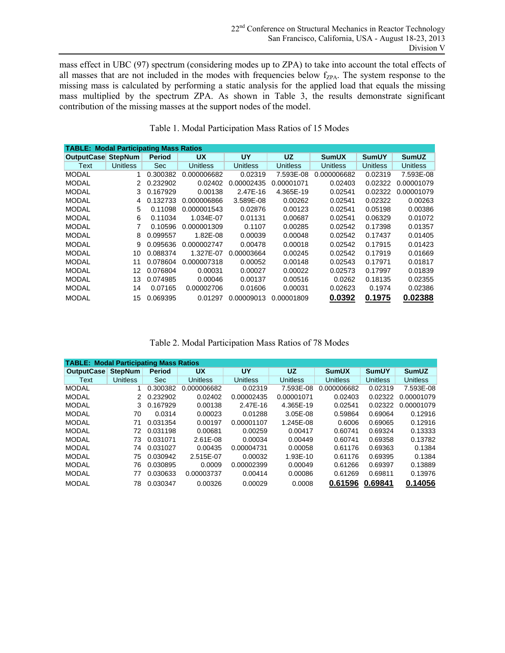mass effect in UBC (97) spectrum (considering modes up to ZPA) to take into account the total effects of all masses that are not included in the modes with frequencies below f<sub>ZPA</sub>. The system response to the missing mass is calculated by performing a static analysis for the applied load that equals the missing mass multiplied by the spectrum ZPA. As shown in Table 3, the results demonstrate significant contribution of the missing masses at the support nodes of the model.

|                                               |          |               | Table 1. Modal Participation Mass Ratios of 15 Modes |            |            |                 |                 |                 |  |
|-----------------------------------------------|----------|---------------|------------------------------------------------------|------------|------------|-----------------|-----------------|-----------------|--|
|                                               |          |               |                                                      |            |            |                 |                 |                 |  |
| <b>TABLE: Modal Participating Mass Ratios</b> |          |               |                                                      |            |            |                 |                 |                 |  |
| <b>OutputCase StepNum</b>                     |          | <b>Period</b> | <b>UX</b>                                            | UY         | <b>UZ</b>  | <b>SumUX</b>    | <b>SumUY</b>    | <b>SumUZ</b>    |  |
| Text                                          | Unitless | Sec           | Unitless                                             | Unitless   | Unitless   | <b>Unitless</b> | <b>Unitless</b> | <b>Unitless</b> |  |
| <b>MODAL</b>                                  |          | 0.300382      | 0.000006682                                          | 0.02319    | 7.593E-08  | 0.000006682     | 0.02319         | 7.593E-08       |  |
| <b>MODAL</b>                                  | 2        | 0.232902      | 0.02402                                              | 0.00002435 | 0.00001071 | 0.02403         | 0.02322         | 0.00001079      |  |
| <b>MODAL</b>                                  | 3        | 0.167929      | 0.00138                                              | 2.47E-16   | 4.365E-19  | 0.02541         | 0.02322         | 0.00001079      |  |
| <b>MODAL</b>                                  | 4        | 0.132733      | 0.000006866                                          | 3.589E-08  | 0.00262    | 0.02541         | 0.02322         | 0.00263         |  |
| <b>MODAL</b>                                  | 5        | 0.11098       | 0.000001543                                          | 0.02876    | 0.00123    | 0.02541         | 0.05198         | 0.00386         |  |
| <b>MODAL</b>                                  | 6        | 0.11034       | 1.034E-07                                            | 0.01131    | 0.00687    | 0.02541         | 0.06329         | 0.01072         |  |
| <b>MODAL</b>                                  | 7        | 0.10596       | 0.000001309                                          | 0.1107     | 0.00285    | 0.02542         | 0.17398         | 0.01357         |  |
| <b>MODAL</b>                                  | 8        | 0.099557      | 1.82E-08                                             | 0.00039    | 0.00048    | 0.02542         | 0.17437         | 0.01405         |  |
| <b>MODAL</b>                                  | 9        | 0.095636      | 0.000002747                                          | 0.00478    | 0.00018    | 0.02542         | 0.17915         | 0.01423         |  |
| <b>MODAL</b>                                  | 10       | 0.088374      | 1.327E-07                                            | 0.00003664 | 0.00245    | 0.02542         | 0.17919         | 0.01669         |  |
| <b>MODAL</b>                                  | 11       | 0.078604      | 0.000007318                                          | 0.00052    | 0.00148    | 0.02543         | 0.17971         | 0.01817         |  |
| <b>MODAL</b>                                  | 12       | 0.076804      | 0.00031                                              | 0.00027    | 0.00022    | 0.02573         | 0.17997         | 0.01839         |  |
| <b>MODAL</b>                                  | 13       | 0.074985      | 0.00046                                              | 0.00137    | 0.00516    | 0.0262          | 0.18135         | 0.02355         |  |
| <b>MODAL</b>                                  | 14       | 0.07165       | 0.00002706                                           | 0.01606    | 0.00031    | 0.02623         | 0.1974          | 0.02386         |  |
| <b>MODAL</b>                                  | 15       | 0.069395      | 0.01297                                              | 0.00009013 | 0.00001809 | 0.0392          | 0.1975          | 0.02388         |  |

#### Table 1. Modal Participation Mass Ratios of 15 Modes

| Table 2. Modal Participation Mass Ratios of 78 Modes |  |  |  |
|------------------------------------------------------|--|--|--|
|------------------------------------------------------|--|--|--|

|                                               |                 |          | Table 2. Modal Participation Mass Ratios of 78 Modes |                 |                 |                 |                 |              |
|-----------------------------------------------|-----------------|----------|------------------------------------------------------|-----------------|-----------------|-----------------|-----------------|--------------|
|                                               |                 |          |                                                      |                 |                 |                 |                 |              |
| <b>TABLE: Modal Participating Mass Ratios</b> |                 |          |                                                      |                 |                 |                 |                 |              |
| <b>OutputCase</b>                             | <b>StepNum</b>  | Period   | <b>UX</b>                                            | UY              | <b>UZ</b>       | <b>SumUX</b>    | <b>SumUY</b>    | <b>SumUZ</b> |
| Text                                          | <b>Unitless</b> | Sec:     | <b>Unitless</b>                                      | <b>Unitless</b> | <b>Unitless</b> | <b>Unitless</b> | <b>Unitless</b> | Unitless     |
| <b>MODAL</b>                                  | 1               | 0.300382 | 0.000006682                                          | 0.02319         | 7.593E-08       | 0.000006682     | 0.02319         | 7.593E-08    |
| <b>MODAL</b>                                  | 2               | 0.232902 | 0.02402                                              | 0.00002435      | 0.00001071      | 0.02403         | 0.02322         | 0.00001079   |
| <b>MODAL</b>                                  | 3               | 0.167929 | 0.00138                                              | 2.47E-16        | 4.365E-19       | 0.02541         | 0.02322         | 0.00001079   |
| <b>MODAL</b>                                  | 70              | 0.0314   | 0.00023                                              | 0.01288         | $3.05E - 08$    | 0.59864         | 0.69064         | 0.12916      |
| <b>MODAL</b>                                  | 71              | 0.031354 | 0.00197                                              | 0.00001107      | 1.245E-08       | 0.6006          | 0.69065         | 0.12916      |
| <b>MODAL</b>                                  | 72              | 0.031198 | 0.00681                                              | 0.00259         | 0.00417         | 0.60741         | 0.69324         | 0.13333      |
| <b>MODAL</b>                                  | 73              | 0.031071 | 2.61E-08                                             | 0.00034         | 0.00449         | 0.60741         | 0.69358         | 0.13782      |
| <b>MODAL</b>                                  | 74              | 0.031027 | 0.00435                                              | 0.00004731      | 0.00058         | 0.61176         | 0.69363         | 0.1384       |
| <b>MODAL</b>                                  | 75              | 0.030942 | 2.515E-07                                            | 0.00032         | 1.93E-10        | 0.61176         | 0.69395         | 0.1384       |
| <b>MODAL</b>                                  | 76              | 0.030895 | 0.0009                                               | 0.00002399      | 0.00049         | 0.61266         | 0.69397         | 0.13889      |
| <b>MODAL</b>                                  | 77              | 0.030633 | 0.00003737                                           | 0.00414         | 0.00086         | 0.61269         | 0.69811         | 0.13976      |
| <b>MODAL</b>                                  | 78              | 0.030347 | 0.00326                                              | 0.00029         | 0.0008          | 0.61596         | 0.69841         | 0.14056      |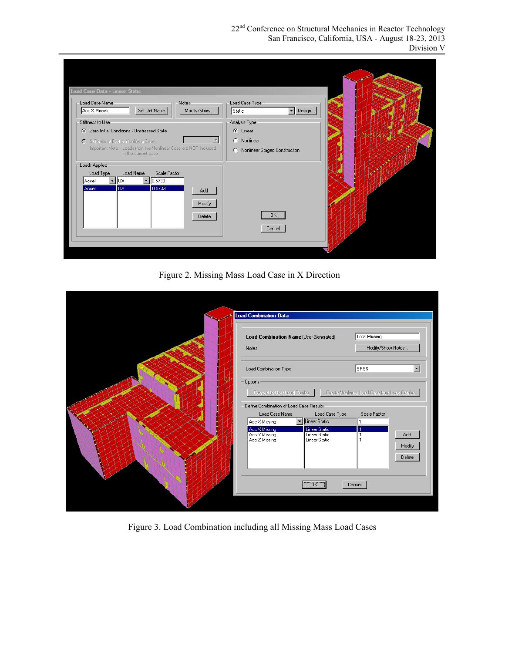22<sup>nd</sup> Conference on Structural Mechanics in Reactor Technology San Francisco, California, USA - August 18-23, 2013 Division V

| Load Case Name-<br>Notes-<br>Set Def Name<br>Modify/Show<br>Acc X Missing<br>Stiffness to Use-<br>Zero Initial Conditions - Unstressed State<br>G.<br>O Stiffness at End of Nonlinear Case<br>Important Note: Loads from the Nonlinear Case are NOT included<br>in the current case | Load Case Type-<br>Design<br>Static<br>$\overline{\phantom{a}}$<br>Analysis Type-<br>C Linear<br>C Nonlinear |  |
|-------------------------------------------------------------------------------------------------------------------------------------------------------------------------------------------------------------------------------------------------------------------------------------|--------------------------------------------------------------------------------------------------------------|--|
|                                                                                                                                                                                                                                                                                     |                                                                                                              |  |
|                                                                                                                                                                                                                                                                                     |                                                                                                              |  |
|                                                                                                                                                                                                                                                                                     | C Nonlinear Staged Construction                                                                              |  |
| Loads Applied-<br>Load Type<br>Load Name<br>Scale Factor<br>  0.5733<br>lux.<br>Accel                                                                                                                                                                                               |                                                                                                              |  |
| 0.5733<br><b>UX</b><br>Accel<br>Add<br>Modify                                                                                                                                                                                                                                       |                                                                                                              |  |
| Delete                                                                                                                                                                                                                                                                              | OK.                                                                                                          |  |
|                                                                                                                                                                                                                                                                                     | Cancel                                                                                                       |  |

Figure 2. Missing Mass Load Case in X Direction

| <b>Load Combination Data</b>                                                                                                                                                        |
|-------------------------------------------------------------------------------------------------------------------------------------------------------------------------------------|
| Total Missing<br>Load Combination Name (User-Generated)<br>Modify/Show Notes<br>Notes                                                                                               |
| <b>SRSS</b><br>Load Combination Type<br>$\blacktriangledown$                                                                                                                        |
| Dptions<br>Convert to User Load Combo<br>Create Nonlinear Load Case from Load Combo<br>Define Combination of Load Case Results<br>Load Case Type<br>Load Case Name<br>Scale Factor  |
| ▼ Linear Static<br>π.<br>Acc X Missing<br>Linear Static<br>Acc X Missing<br>Acc Y Missing<br>Linear Static<br>Add<br>1.<br>Acc Z Missing<br>Linear Static<br>1.<br>Modify<br>Delete |
| "OK"<br>Cancel                                                                                                                                                                      |

Figure 3. Load Combination including all Missing Mass Load Cases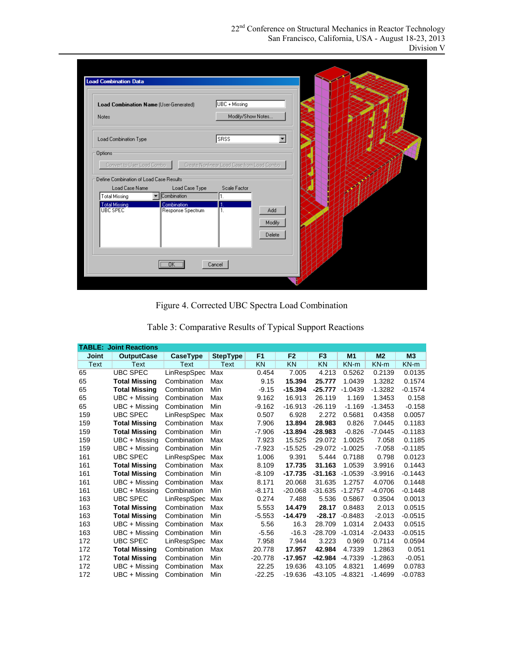| Load Combination Type                                                                                      |                                                            |                          |  |
|------------------------------------------------------------------------------------------------------------|------------------------------------------------------------|--------------------------|--|
|                                                                                                            | <b>SRSS</b>                                                | $\overline{\phantom{a}}$ |  |
| Convert to User Load Combo<br>Define Combination of Load Case Results:<br>Load Case Name<br>Load Case Type | Create Nonlinear Load Case from Load Combo<br>Scale Factor |                          |  |
| Combination<br><b>Total Missing</b><br><b>Total Missing</b><br>Combination                                 | π.                                                         |                          |  |
| <b>UBC SPEC</b><br>Response Spectrum                                                                       | $\overline{1}$ .                                           | Add<br>Modify<br>Delete  |  |
|                                                                                                            |                                                            |                          |  |

Figure 4. Corrected UBC Spectra Load Combination

| Table 3: Comparative Results of Typical Support Reactions |                               |             |                 |                |                |                |                |                |                |
|-----------------------------------------------------------|-------------------------------|-------------|-----------------|----------------|----------------|----------------|----------------|----------------|----------------|
|                                                           | <b>TABLE: Joint Reactions</b> |             |                 |                |                |                |                |                |                |
| Joint                                                     | <b>OutputCase</b>             | CaseType    | <b>StepType</b> | F <sub>1</sub> | F <sub>2</sub> | F <sub>3</sub> | M <sub>1</sub> | M <sub>2</sub> | M <sub>3</sub> |
| <b>Text</b>                                               | Text                          | Text        | Text            | <b>KN</b>      | <b>KN</b>      | <b>KN</b>      | $KN-m$         | $KN-m$         | $KN-m$         |
| 65                                                        | <b>UBC SPEC</b>               | LinRespSpec | Max             | 0.454          | 7.005          | 4.213          | 0.5262         | 0.2139         | 0.0135         |
| 65                                                        | <b>Total Missing</b>          | Combination | Max             | 9.15           | 15.394         | 25.777         | 1.0439         | 1.3282         | 0.1574         |
| 65                                                        | <b>Total Missing</b>          | Combination | Min             | $-9.15$        | $-15.394$      | $-25.777$      | $-1.0439$      | $-1.3282$      | $-0.1574$      |
| 65                                                        | UBC + Missing                 | Combination | Max             | 9.162          | 16.913         | 26.119         | 1.169          | 1.3453         | 0.158          |
| 65                                                        | UBC + Missing                 | Combination | Min             | $-9.162$       | $-16.913$      | $-26.119$      | $-1.169$       | $-1.3453$      | $-0.158$       |
| 159                                                       | <b>UBC SPEC</b>               | LinRespSpec | Max             | 0.507          | 6.928          | 2.272          | 0.5681         | 0.4358         | 0.0057         |
| 159                                                       | <b>Total Missing</b>          | Combination | Max             | 7.906          | 13.894         | 28.983         | 0.826          | 7.0445         | 0.1183         |
| 159                                                       | <b>Total Missing</b>          | Combination | Min             | $-7.906$       | $-13.894$      | $-28.983$      | $-0.826$       | $-7.0445$      | $-0.1183$      |
| 159                                                       | UBC + Missing                 | Combination | Max             | 7.923          | 15.525         | 29.072         | 1.0025         | 7.058          | 0.1185         |
| 159                                                       | UBC + Missing                 | Combination | Min             | $-7.923$       | $-15.525$      | $-29.072$      | $-1.0025$      | $-7.058$       | $-0.1185$      |
| 161                                                       | <b>UBC SPEC</b>               | LinRespSpec | Max             | 1.006          | 9.391          | 5.444          | 0.7188         | 0.798          | 0.0123         |
| 161                                                       | <b>Total Missing</b>          | Combination | Max             | 8.109          | 17.735         | 31.163         | 1.0539         | 3.9916         | 0.1443         |
| 161                                                       | <b>Total Missing</b>          | Combination | Min             | $-8.109$       | $-17.735$      | $-31.163$      | $-1.0539$      | $-3.9916$      | $-0.1443$      |
| 161                                                       | UBC + Missing                 | Combination | Max             | 8.171          | 20.068         | 31.635         | 1.2757         | 4.0706         | 0.1448         |
| 161                                                       | UBC + Missing                 | Combination | Min             | $-8.171$       | $-20.068$      | $-31.635$      | $-1.2757$      | $-4.0706$      | $-0.1448$      |
| 163                                                       | <b>UBC SPEC</b>               | LinRespSpec | Max             | 0.274          | 7.488          | 5.536          | 0.5867         | 0.3504         | 0.0013         |
| 163                                                       | <b>Total Missing</b>          | Combination | Max             | 5.553          | 14.479         | 28.17          | 0.8483         | 2.013          | 0.0515         |
| 163                                                       | <b>Total Missing</b>          | Combination | Min             | $-5.553$       | $-14.479$      | $-28.17$       | $-0.8483$      | $-2.013$       | $-0.0515$      |
| 163                                                       | UBC + Missing                 | Combination | Max             | 5.56           | 16.3           | 28.709         | 1.0314         | 2.0433         | 0.0515         |
| 163                                                       | UBC + Missing                 | Combination | Min             | $-5.56$        | $-16.3$        | $-28.709$      | $-1.0314$      | $-2.0433$      | $-0.0515$      |
| 172                                                       | <b>UBC SPEC</b>               | LinRespSpec | Max             | 7.958          | 7.944          | 3.223          | 0.969          | 0.7114         | 0.0594         |
| 172                                                       | <b>Total Missing</b>          | Combination | Max             | 20.778         | 17.957         | 42.984         | 4.7339         | 1.2863         | 0.051          |
| 172                                                       | <b>Total Missing</b>          | Combination | Min             | $-20.778$      | $-17.957$      | -42.984        | $-4.7339$      | $-1.2863$      | $-0.051$       |
| 172                                                       | UBC + Missing                 | Combination | Max             | 22.25          | 19.636         | 43.105         | 4.8321         | 1.4699         | 0.0783         |
| 172                                                       | UBC + Missing                 | Combination | Min             | $-22.25$       | $-19.636$      | $-43.105$      | $-4.8321$      | $-1.4699$      | $-0.0783$      |

|  |  | Table 3: Comparative Results of Typical Support Reactions |
|--|--|-----------------------------------------------------------|
|  |  |                                                           |